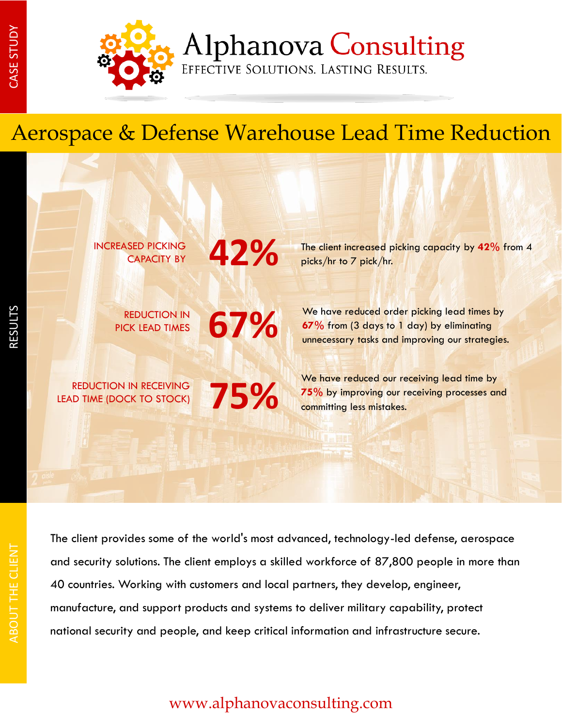RESULTS



**Alphanova Consulting** 

EFFECTIVE SOLUTIONS. LASTING RESULTS.

## Aerospace & Defense Warehouse Lead Time Reduction

INCREASED PICKING CAPACITY BY

PICK LEAD TIMES

REDUCTION IN **67%** 

**75%**

**42%**

REDUCTION IN RECEIVING LEAD TIME (DOCK TO STOCK) The client increased picking capacity by **42%** from 4 picks/hr to 7 pick/hr.

We have reduced order picking lead times by **67%** from (3 days to 1 day) by eliminating unnecessary tasks and improving our strategies.

We have reduced our receiving lead time by **75%** by improving our receiving processes and committing less mistakes.

ABOUT THE CLIENT ABOUT THE CLIENT

The client provides some of the world's most advanced, technology-led defense, aerospace and security solutions. The client employs a skilled workforce of 87,800 people in more than 40 countries. Working with customers and local partners, they develop, engineer, manufacture, and support products and systems to deliver military capability, protect national security and people, and keep critical information and infrastructure secure.

## www.alphanovaconsulting.com